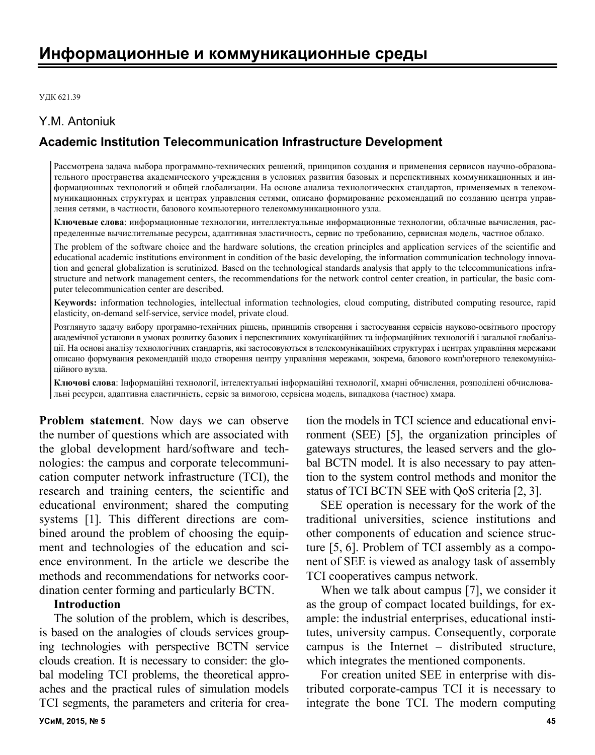УДК 621.39

## Y.M. Antoniuk

# **Academic Institution Telecommunication Infrastructure Development**

Рассмотрена задача выбора программно-технических решений, принципов создания и применения сервисов научно-образовательного пространства академического учреждения в условиях развития базовых и перспективных коммуникационных и информационных технологий и общей глобализации. На основе анализа технологических стандартов, применяемых в телекоммуникационных структурах и центрах управления сетями, описано формирование рекомендаций по созданию центра управления сетями, в частности, базового компьютерного телекоммуникационного узла.

**Ключевые слова**: информационные технологии, интеллектуальные информационные технологии, облачные вычисления, распределенные вычислительные ресурсы, адаптивная эластичность, сервис по требованию, сервисная модель, частное облако.

The problem of the software choice and the hardware solutions, the creation principles and application services of the scientific and educational academic institutions environment in condition of the basic developing, the information communication technology innovation and general globalization is scrutinized. Based on the technological standards analysis that apply to the telecommunications infrastructure and network management centers, the recommendations for the network control center creation, in particular, the basic computer telecommunication center are described.

**Keywords:** information technologies, intellectual information technologies, cloud computing, distributed computing resource, rapid elasticity, on-demand self-service, service model, private cloud.

Розглянуто задачу вибору програмно-технічних рішень, принципів створення і застосування сервісів науково-освітнього простору академічної установи в умовах розвитку базових і перспективних комунікаційних та інформаційних технологій і загальної глобалізації. На основі аналізу технологічних стандартів, які застосовуються в телекомунікаційних структурах і центрах управління мережами описано формування рекомендацій щодо створення центру управління мережами, зокрема, базового комп'ютерного телекомунікаційного вузла.

**Ключові слова**: Інформаційні технології, інтелектуальні інформаційні технології, хмарні обчислення, розподілені обчислювальні ресурси, адаптивна еластичність, сервіс за вимогою, сервісна модель, випадкова (частное) хмара.

**Problem statement**. Now days we can observe the number of questions which are associated with the global development hard/software and technologies: the campus and corporate telecommunication computer network infrastructure (TCI), the research and training centers, the scientific and educational environment; shared the computing systems [1]. This different directions are combined around the problem of choosing the equipment and technologies of the education and science environment. In the article we describe the methods and recommendations for networks coordination center forming and particularly BCTN.

#### **Introduction**

The solution of the problem, which is describes, is based on the analogies of clouds services grouping technologies with perspective BCTN service clouds creation. It is necessary to consider: the global modeling TCI problems, the theoretical approaches and the practical rules of simulation models TCI segments, the parameters and criteria for creation the models in TCI science and educational environment (SEE) [5], the organization principles of gateways structures, the leased servers and the global BCTN model. It is also necessary to pay attention to the system control methods and monitor the status of TCI BCTN SEE with QoS criteria [2, 3].

SEE operation is necessary for the work of the traditional universities, science institutions and other components of education and science structure [5, 6]. Problem of TCI assembly as a component of SEE is viewed as analogy task of assembly TCI cooperatives campus network.

When we talk about campus [7], we consider it as the group of compact located buildings, for example: the industrial enterprises, educational institutes, university campus. Consequently, corporate campus is the Internet – distributed structure, which integrates the mentioned components.

For creation united SEE in enterprise with distributed corporate-campus TCI it is necessary to integrate the bone TCI. The modern computing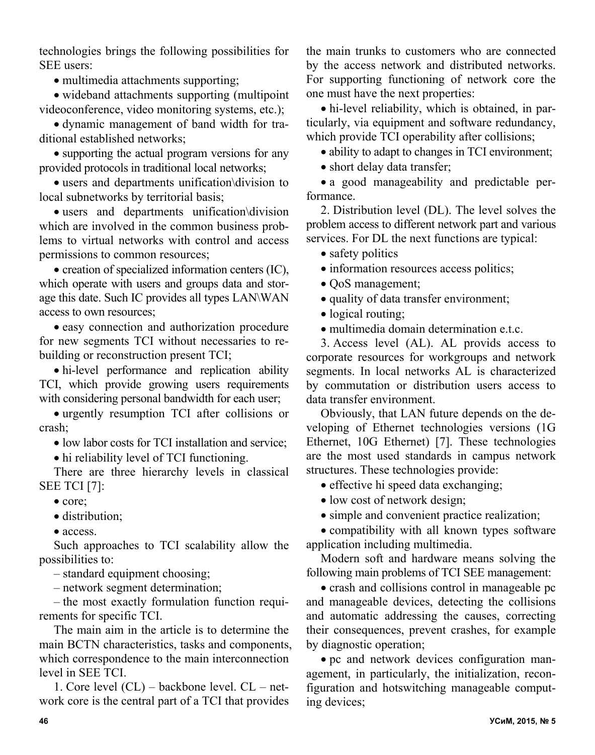technologies brings the following possibilities for SEE users:

• multimedia attachments supporting:

• wideband attachments supporting (multipoint) videoconference, video monitoring systems, etc.);

 dynamic management of band width for traditional established networks;

• supporting the actual program versions for any provided protocols in traditional local networks;

 users and departments unification\division to local subnetworks by territorial basis;

 users and departments unification\division which are involved in the common business problems to virtual networks with control and access permissions to common resources;

 $\bullet$  creation of specialized information centers (IC), which operate with users and groups data and storage this date. Such IC provides all types LAN\WAN access to own resources;

 easy connection and authorization procedure for new segments TCI without necessaries to rebuilding or reconstruction present TCI;

 hi-level performance and replication ability TCI, which provide growing users requirements with considering personal bandwidth for each user;

 urgently resumption TCI after collisions or crash;

• low labor costs for TCI installation and service;

hi reliability level of TCI functioning.

There are three hierarchy levels in classical SEE TCI [7]:

- core;
- distribution:

• access

Such approaches to TCI scalability allow the possibilities to:

– standard equipment choosing;

– network segment determination;

– the most exactly formulation function requirements for specific TCI.

The main aim in the article is to determine the main BCTN characteristics, tasks and components, which correspondence to the main interconnection level in SEE TCI.

1. Core level (CL) – backbone level. CL – network core is the central part of a TCI that provides the main trunks to customers who are connected by the access network and distributed networks. For supporting functioning of network core the one must have the next properties:

• hi-level reliability, which is obtained, in particularly, via equipment and software redundancy, which provide TCI operability after collisions;

• ability to adapt to changes in TCI environment;

• short delay data transfer;

 a good manageability and predictable performance.

2. Distribution level (DL). The level solves the problem access to different network part and various services. For DL the next functions are typical:

• safety politics

 $\bullet$  information resources access politics;

• OoS management;

• quality of data transfer environment;

• logical routing;

multimedia domain determination e.t.c.

3. Access level (AL). AL provids access to corporate resources for workgroups and network segments. In local networks AL is characterized by commutation or distribution users access to data transfer environment.

Obviously, that LAN future depends on the developing of Ethernet technologies versions (1G Ethernet, 10G Ethernet) [7]. These technologies are the most used standards in campus network structures. These technologies provide:

• effective hi speed data exchanging;

• low cost of network design;

• simple and convenient practice realization;

 compatibility with all known types software application including multimedia.

Modern soft and hardware means solving the following main problems of TCI SEE management:

 crash and collisions control in manageable pc and manageable devices, detecting the collisions and automatic addressing the causes, correcting their consequences, prevent crashes, for example by diagnostic operation;

 pc and network devices configuration management, in particularly, the initialization, reconfiguration and hotswitching manageable computing devices;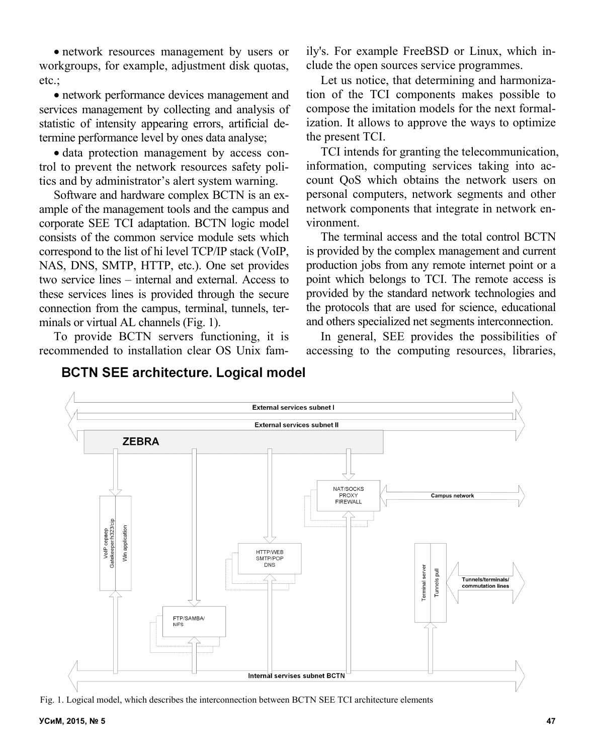network resources management by users or workgroups, for example, adjustment disk quotas, etc.;

 network performance devices management and services management by collecting and analysis of statistic of intensity appearing errors, artificial determine performance level by ones data analyse;

 data protection management by access control to prevent the network resources safety politics and by administrator's alert system warning.

Software and hardware complex BCTN is an example of the management tools and the campus and corporate SEE TCI adaptation. BCTN logic model consists of the common service module sets which correspond to the list of hi level TCP/IP stack (VoIP, NAS, DNS, SMTP, HTTP, etc.). One set provides two service lines – internal and external. Access to these services lines is provided through the secure connection from the campus, terminal, tunnels, terminals or virtual AL channels (Fig. 1).

To provide BCTN servers functioning, it is recommended to installation clear OS Unix family's. For example FreeBSD or Linux, which include the open sources service programmes.

Let us notice, that determining and harmonization of the TCI components makes possible to compose the imitation models for the next formalization. It allows to approve the ways to optimize the present TCI.

TCI intends for granting the telecommunication, information, computing services taking into account QoS which obtains the network users on personal computers, network segments and other network components that integrate in network environment.

The terminal access and the total control BCTN is provided by the complex management and current production jobs from any remote internet point or a point which belongs to TCI. The remote access is provided by the standard network technologies and the protocols that are used for science, educational and others specialized net segments interconnection.

In general, SEE provides the possibilities of accessing to the computing resources, libraries,



Fig. 1. Logical model, which describes the interconnection between BCTN SEE TCI architecture elements

## **BCTN SEE architecture. Logical model**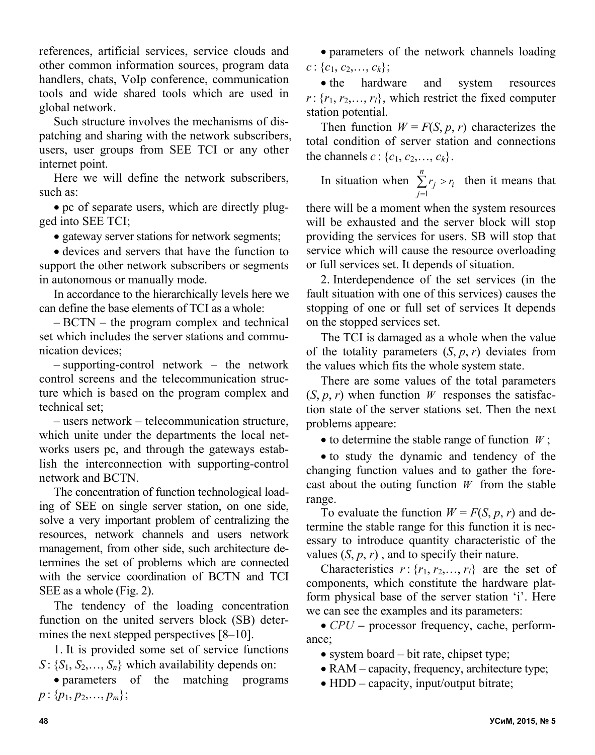references, artificial services, service clouds and other common information sources, program data handlers, chats, VoIp conference, communication tools and wide shared tools which are used in global network.

Such structure involves the mechanisms of dispatching and sharing with the network subscribers, users, user groups from SEE TCI or any other internet point.

Here we will define the network subscribers, such as:

 pc of separate users, which are directly plugged into SEE TCI;

• gateway server stations for network segments;

 devices and servers that have the function to support the other network subscribers or segments in autonomous or manually mode.

In accordance to the hierarchically levels here we can define the base elements of TCI as a whole:

– BCTN – the program complex and technical set which includes the server stations and communication devices;

– supporting-control network – the network control screens and the telecommunication structure which is based on the program complex and technical set;

– users network – telecommunication structure, which unite under the departments the local networks users pc, and through the gateways establish the interconnection with supporting-control network and BCTN.

The concentration of function technological loading of SEE on single server station, on one side, solve a very important problem of centralizing the resources, network channels and users network management, from other side, such architecture determines the set of problems which are connected with the service coordination of BCTN and TCI SEE as a whole (Fig. 2).

The tendency of the loading concentration function on the united servers block (SB) determines the next stepped perspectives [8–10].

1. It is provided some set of service functions  $S: \{S_1, S_2, \ldots, S_n\}$  which availability depends on:

 parameters of the matching programs  $p: \{p_1, p_2, \ldots, p_m\};$ 

 parameters of the network channels loading  $c: \{c_1, c_2, \ldots, c_k\};$ 

• the hardware and system resources  $r: \{r_1, r_2, \ldots, r_l\}$ , which restrict the fixed computer station potential.

Then function  $W = F(S, p, r)$  characterizes the total condition of server station and connections the channels  $c: \{c_1, c_2, ..., c_k\}.$ 

In situation when  $\sum_{i=1}^{n} r_i > r_i$ *j*  $\sum r_j > r_j$  $=1$ then it means that

there will be a moment when the system resources will be exhausted and the server block will stop providing the services for users. SB will stop that service which will cause the resource overloading or full services set. It depends of situation.

2. Interdependence of the set services (in the fault situation with one of this services) causes the stopping of one or full set of services It depends on the stopped services set.

The TCI is damaged as a whole when the value of the totality parameters  $(S, p, r)$  deviates from the values which fits the whole system state.

There are some values of the total parameters  $(S, p, r)$  when function *W* responses the satisfaction state of the server stations set. Then the next problems appeare:

 $\bullet$  to determine the stable range of function *W*;

• to study the dynamic and tendency of the changing function values and to gather the forecast about the outing function *W* from the stable range.

To evaluate the function  $W = F(S, p, r)$  and determine the stable range for this function it is necessary to introduce quantity characteristic of the values  $(S, p, r)$ , and to specify their nature.

Characteristics  $r: \{r_1, r_2, \ldots, r_l\}$  are the set of components, which constitute the hardware platform physical base of the server station 'i'. Here we can see the examples and its parameters:

• *CPU* – processor frequency, cache, performance;

• system board – bit rate, chipset type;

- RAM capacity, frequency, architecture type;
- HDD capacity, input/output bitrate;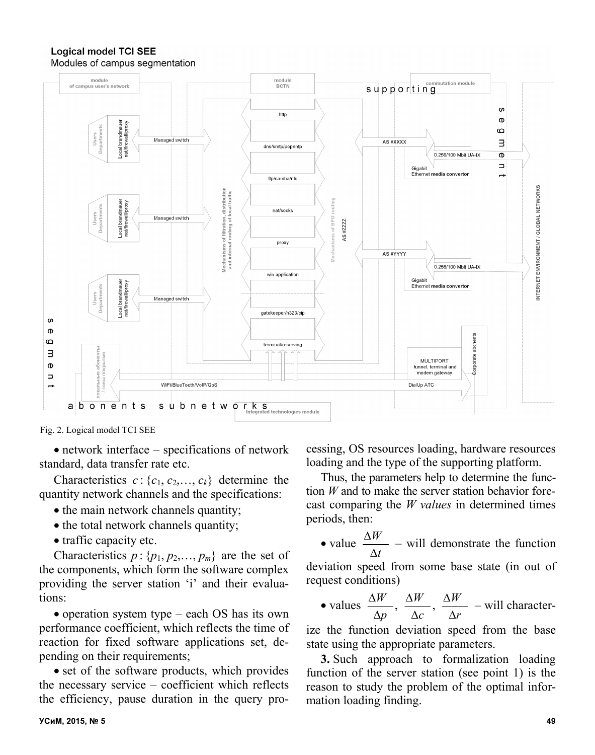#### **Logical model TCI SEE** Modules of campus segmentation



Fig. 2. Logical model TCI SEE

 network interface – specifications of network standard, data transfer rate etc.

Characteristics  $c: \{c_1, c_2, \ldots, c_k\}$  determine the quantity network channels and the specifications:

- the main network channels quantity;
- the total network channels quantity;
- traffic capacity etc.

Characteristics  $p : \{p_1, p_2, \ldots, p_m\}$  are the set of the components, which form the software complex providing the server station 'i' and their evaluations:

• operation system type – each OS has its own performance coefficient, which reflects the time of reaction for fixed software applications set, depending on their requirements;

• set of the software products, which provides the necessary service – coefficient which reflects the efficiency, pause duration in the query processing, OS resources loading, hardware resources loading and the type of the supporting platform.

Thus, the parameters help to determine the function *W* and to make the server station behavior forecast comparing the *W values* in determined times periods, then:

 $\bullet$  value  $\frac{\Delta W}{\Delta}$ *t*  $\Delta$  $\Delta$ – will demonstrate the function

deviation speed from some base state (in out of request conditions)

• values 
$$
\frac{\Delta W}{\Delta p}
$$
,  $\frac{\Delta W}{\Delta c}$ ,  $\frac{\Delta W}{\Delta r}$  - will character-

ize the function deviation speed from the base state using the appropriate parameters.

**3.** Such approach to formalization loading function of the server station (see point 1) is the reason to study the problem of the optimal information loading finding.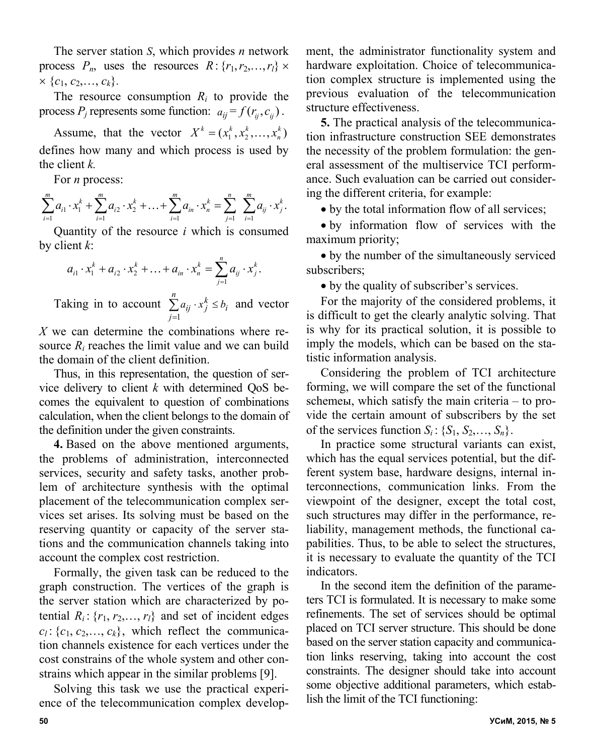The server station *S*, which provides *n* network process  $P_n$ , uses the resources  $R: \{r_1, r_2, \ldots, r_l\} \times$  $\times \{c_1, c_2, \ldots, c_k\}.$ 

The resource consumption  $R_i$  to provide the process  $P_j$  represents some function:  $a_{ij} = f(r_{ij}, c_{ij})$ .

Assume, that the vector  $X^k = (x_1^k, x_2^k, ..., x_n^k)$ defines how many and which process is used by the client *k.*

For *n* process:

$$
\sum_{i=1}^m a_{i1} \cdot x_1^k + \sum_{i=1}^m a_{i2} \cdot x_2^k + \ldots + \sum_{i=1}^m a_{in} \cdot x_n^k = \sum_{j=1}^n \sum_{i=1}^m a_{ij} \cdot x_j^k.
$$

Quantity of the resource *i* which is consumed by client *k*:

$$
a_{i1} \cdot x_1^k + a_{i2} \cdot x_2^k + \ldots + a_{in} \cdot x_n^k = \sum_{j=1}^n a_{ij} \cdot x_j^k.
$$

Taking in to account  $\sum_{i=1}^{n} a_{ij} \cdot x_j^k \leq b_i$ *j*  $\sum_{i=1}^{n} a_{ij} \cdot x_j^k \leq b$  $=1$ and vector

*X* we can determine the combinations where resource  $R_i$  reaches the limit value and we can build the domain of the client definition.

Thus, in this representation, the question of service delivery to client *k* with determined QoS becomes the equivalent to question of combinations calculation, when the client belongs to the domain of the definition under the given constraints.

**4.** Based on the above mentioned arguments, the problems of administration, interconnected services, security and safety tasks, another problem of architecture synthesis with the optimal placement of the telecommunication complex services set arises. Its solving must be based on the reserving quantity or capacity of the server stations and the communication channels taking into account the complex cost restriction.

Formally, the given task can be reduced to the graph construction. The vertices of the graph is the server station which are characterized by potential  $R_i$ :  $\{r_1, r_2, \ldots, r_l\}$  and set of incident edges  $c_l$ : { $c_1$ ,  $c_2$ ,...,  $c_k$ }, which reflect the communication channels existence for each vertices under the cost constrains of the whole system and other constrains which appear in the similar problems [9].

Solving this task we use the practical experience of the telecommunication complex development, the administrator functionality system and hardware exploitation. Choice of telecommunication complex structure is implemented using the previous evaluation of the telecommunication structure effectiveness.

**5.** The practical analysis of the telecommunication infrastructure construction SEE demonstrates the necessity of the problem formulation: the general assessment of the multiservice TCI performance. Such evaluation can be carried out considering the different criteria, for example:

• by the total information flow of all services;

 by information flow of services with the maximum priority;

 by the number of the simultaneously serviced subscribers;

by the quality of subscriber's services.

For the majority of the considered problems, it is difficult to get the clearly analytic solving. That is why for its practical solution, it is possible to imply the models, which can be based on the statistic information analysis.

Considering the problem of TCI architecture forming, we will compare the set of the functional schemeы, which satisfy the main criteria – to provide the certain amount of subscribers by the set of the services function  $S_i$ :  $\{S_1, S_2, \ldots, S_n\}$ .

In practice some structural variants can exist, which has the equal services potential, but the different system base, hardware designs, internal interconnections, communication links. From the viewpoint of the designer, except the total cost, such structures may differ in the performance, reliability, management methods, the functional capabilities. Thus, to be able to select the structures, it is necessary to evaluate the quantity of the TCI indicators.

In the second item the definition of the parameters TCI is formulated. It is necessary to make some refinements. The set of services should be optimal placed on TCI server structure. This should be done based on the server station capacity and communication links reserving, taking into account the cost constraints. The designer should take into account some objective additional parameters, which establish the limit of the TCI functioning: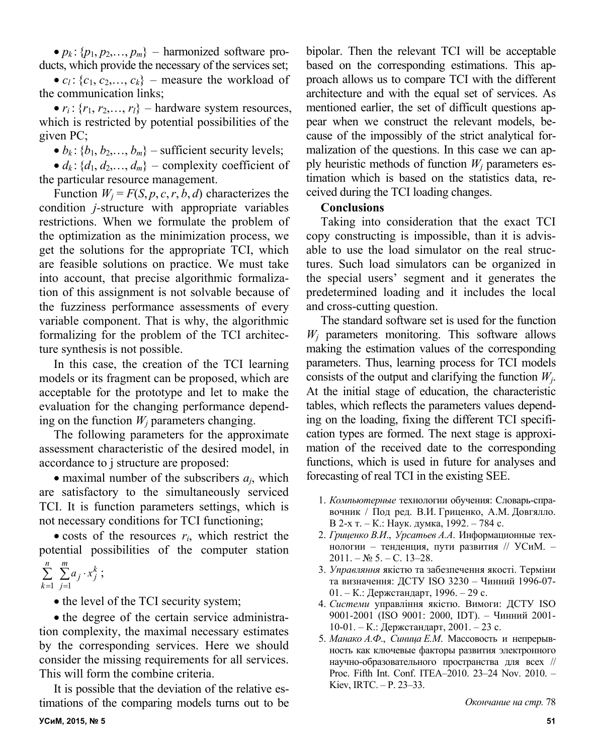$\bullet$  *p<sub>k</sub>* : {*p*<sub>1</sub>, *p*<sub>2</sub>,..., *p<sub>m</sub>*} – harmonized software products, which provide the necessary of the services set;

•  $c_l$ : { $c_1$ ,  $c_2$ ,...,  $c_k$ } – measure the workload of the communication links;

•  $r_i$ : { $r_1$ ,  $r_2$ ,...,  $r_i$ } – hardware system resources, which is restricted by potential possibilities of the given PC;

 $\bullet$  *b<sub>k</sub>*: {*b*<sub>1</sub>, *b*<sub>2</sub>,..., *b<sub>m</sub>*} – sufficient security levels;

 $\bullet$  *d<sub>k</sub>*: {*d*<sub>1</sub>, *d*<sub>2</sub>,..., *d<sub>m</sub>*} – complexity coefficient of the particular resource management.

Function  $W_i = F(S, p, c, r, b, d)$  characterizes the condition *j-*structure with appropriate variables restrictions. When we formulate the problem of the optimization as the minimization process, we get the solutions for the appropriate TCI, which are feasible solutions on practice. We must take into account, that precise algorithmic formalization of this assignment is not solvable because of the fuzziness performance assessments of every variable component. That is why, the algorithmic formalizing for the problem of the TCI architecture synthesis is not possible.

In this case, the creation of the TCI learning models or its fragment can be proposed, which are acceptable for the prototype and let to make the evaluation for the changing performance depending on the function  $W_i$  parameters changing.

The following parameters for the approximate assessment characteristic of the desired model, in accordance to j structure are proposed:

 $\bullet$  maximal number of the subscribers  $a_i$ , which are satisfactory to the simultaneously serviced TCI. It is function parameters settings, which is not necessary conditions for TCI functioning;

 $\bullet$  costs of the resources  $r_i$ , which restrict the potential possibilities of the computer station

$$
\sum_{k=1}^n \sum_{j=1}^m a_j \cdot x_j^k ;
$$

• the level of the TCI security system;

• the degree of the certain service administration complexity, the maximal necessary estimates by the corresponding services. Here we should consider the missing requirements for all services. This will form the combine criteria.

It is possible that the deviation of the relative estimations of the comparing models turns out to be bipolar. Then the relevant TCI will be acceptable based on the corresponding estimations. This approach allows us to compare TCI with the different architecture and with the equal set of services. As mentioned earlier, the set of difficult questions appear when we construct the relevant models, because of the impossibly of the strict analytical formalization of the questions. In this case we can apply heuristic methods of function  $W_i$  parameters estimation which is based on the statistics data, received during the TCI loading changes.

### **Conclusions**

Taking into consideration that the exact TCI copy constructing is impossible, than it is advisable to use the load simulator on the real structures. Such load simulators can be organized in the special users' segment and it generates the predetermined loading and it includes the local and cross-cutting question.

The standard software set is used for the function *Wj* parameters monitoring. This software allows making the estimation values of the corresponding parameters. Thus, learning process for TCI models consists of the output and clarifying the function *Wj*. At the initial stage of education, the characteristic tables, which reflects the parameters values depending on the loading, fixing the different TCI specification types are formed. The next stage is approximation of the received date to the corresponding functions, which is used in future for analyses and forecasting of real TCI in the existing SEE.

- 1. *Компьютерные* технологии обучения: Словарь-справочник / Под ред. В.И. Гриценко, А.М. Довгялло. В 2-х т. – К.: Наук. думка, 1992. – 784 с.
- 2. *Гриценко В.И*., *Урсатьев А.А*. Информационные технологии – тенденция, пути развития // УСиМ. –  $2011. - N<sub>2</sub> 5. - C. 13-28.$
- 3. *Управляння* якістю та забезпечення якості. Терміни та визначення: ДСТУ ISO 3230 – Чинний 1996-07- 01. – К.: Держстандарт, 1996. – 29 с.
- 4. *Системи* управління якістю. Вимоги: ДСТУ ISO 9001-2001 (ISO 9001: 2000, IDT). – Чинний 2001- 10-01. – К.: Держстандарт, 2001. – 23 с.
- 5. *Манако А.Ф*., *Синица Е.М*. Массовость и непрерывность как ключевые факторы развития электронного научно-образовательного пространства для всех // Proc. Fifth Int. Conf. ITEA–2010. 23–24 Nov. 2010. – Kiev, IRTC. – P. 23–33.

*Окончание на стр.* 78